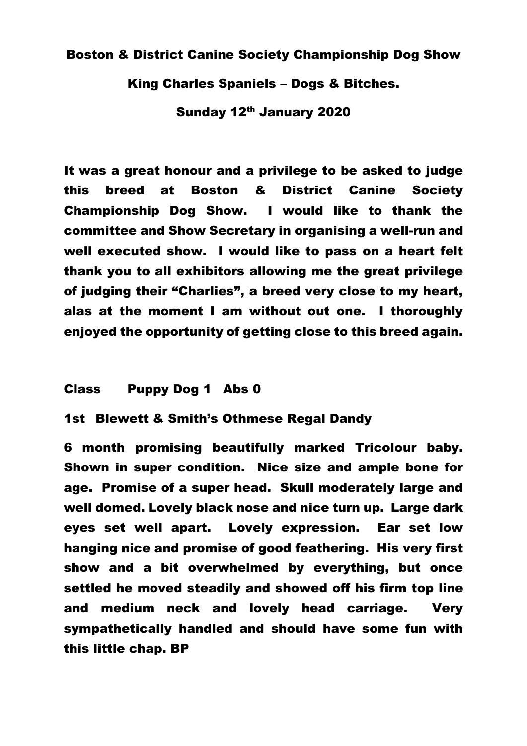#### Boston & District Canine Society Championship Dog Show

King Charles Spaniels – Dogs & Bitches.

Sunday 12<sup>th</sup> January 2020

It was a great honour and a privilege to be asked to judge this breed at Boston & District Canine Society Championship Dog Show. I would like to thank the committee and Show Secretary in organising a well-run and well executed show. I would like to pass on a heart felt thank you to all exhibitors allowing me the great privilege of judging their "Charlies", a breed very close to my heart, alas at the moment I am without out one. I thoroughly enjoyed the opportunity of getting close to this breed again.

#### Class Puppy Dog 1 Abs 0

1st Blewett & Smith's Othmese Regal Dandy

6 month promising beautifully marked Tricolour baby. Shown in super condition. Nice size and ample bone for age. Promise of a super head. Skull moderately large and well domed. Lovely black nose and nice turn up. Large dark eyes set well apart. Lovely expression. Ear set low hanging nice and promise of good feathering. His very first show and a bit overwhelmed by everything, but once settled he moved steadily and showed off his firm top line and medium neck and lovely head carriage. Very sympathetically handled and should have some fun with this little chap. BP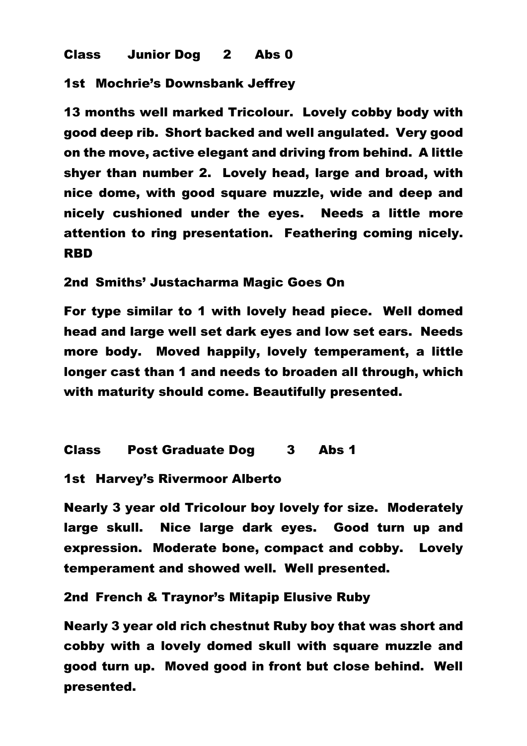## Class Junior Dog 2 Abs 0

1st Mochrie's Downsbank Jeffrey

13 months well marked Tricolour. Lovely cobby body with good deep rib. Short backed and well angulated. Very good on the move, active elegant and driving from behind. A little shyer than number 2. Lovely head, large and broad, with nice dome, with good square muzzle, wide and deep and nicely cushioned under the eyes. Needs a little more attention to ring presentation. Feathering coming nicely. RBD

2nd Smiths' Justacharma Magic Goes On

For type similar to 1 with lovely head piece. Well domed head and large well set dark eyes and low set ears. Needs more body. Moved happily, lovely temperament, a little longer cast than 1 and needs to broaden all through, which with maturity should come. Beautifully presented.

Class Post Graduate Dog 3 Abs 1

1st Harvey's Rivermoor Alberto

Nearly 3 year old Tricolour boy lovely for size. Moderately large skull. Nice large dark eyes. Good turn up and expression. Moderate bone, compact and cobby. Lovely temperament and showed well. Well presented.

2nd French & Traynor's Mitapip Elusive Ruby

Nearly 3 year old rich chestnut Ruby boy that was short and cobby with a lovely domed skull with square muzzle and good turn up. Moved good in front but close behind. Well presented.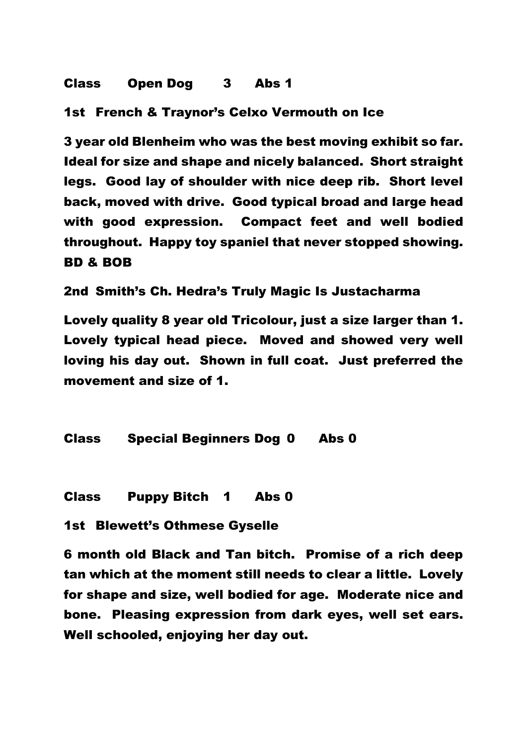# Class Open Dog 3 Abs 1

1st French & Traynor's Celxo Vermouth on Ice

3 year old Blenheim who was the best moving exhibit so far. Ideal for size and shape and nicely balanced. Short straight legs. Good lay of shoulder with nice deep rib. Short level back, moved with drive. Good typical broad and large head with good expression. Compact feet and well bodied throughout. Happy toy spaniel that never stopped showing. BD & BOB

2nd Smith's Ch. Hedra's Truly Magic Is Justacharma

Lovely quality 8 year old Tricolour, just a size larger than 1. Lovely typical head piece. Moved and showed very well loving his day out. Shown in full coat. Just preferred the movement and size of 1.

Class Special Beginners Dog 0 Abs 0

Class Puppy Bitch 1 Abs 0

1st Blewett's Othmese Gyselle

6 month old Black and Tan bitch. Promise of a rich deep tan which at the moment still needs to clear a little. Lovely for shape and size, well bodied for age. Moderate nice and bone. Pleasing expression from dark eyes, well set ears. Well schooled, enjoying her day out.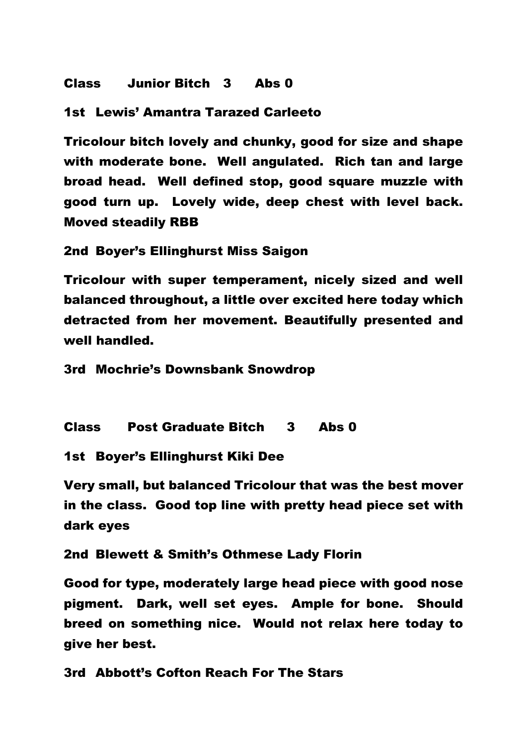### Class Junior Bitch 3 Abs 0

### 1st Lewis' Amantra Tarazed Carleeto

Tricolour bitch lovely and chunky, good for size and shape with moderate bone. Well angulated. Rich tan and large broad head. Well defined stop, good square muzzle with good turn up. Lovely wide, deep chest with level back. Moved steadily RBB

2nd Boyer's Ellinghurst Miss Saigon

Tricolour with super temperament, nicely sized and well balanced throughout, a little over excited here today which detracted from her movement. Beautifully presented and well handled.

3rd Mochrie's Downsbank Snowdrop

Class Post Graduate Bitch 3 Abs 0

1st Boyer's Ellinghurst Kiki Dee

Very small, but balanced Tricolour that was the best mover in the class. Good top line with pretty head piece set with dark eyes

2nd Blewett & Smith's Othmese Lady Florin

Good for type, moderately large head piece with good nose pigment. Dark, well set eyes. Ample for bone. Should breed on something nice. Would not relax here today to give her best.

3rd Abbott's Cofton Reach For The Stars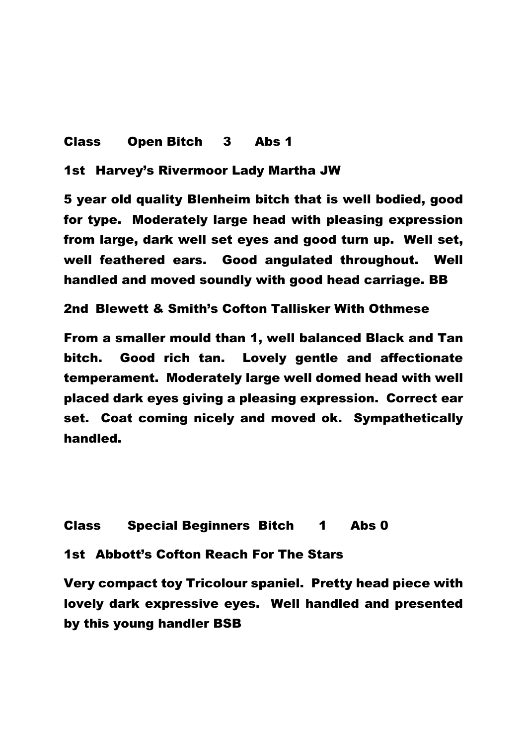## Class Open Bitch 3 Abs 1

1st Harvey's Rivermoor Lady Martha JW

5 year old quality Blenheim bitch that is well bodied, good for type. Moderately large head with pleasing expression from large, dark well set eyes and good turn up. Well set, well feathered ears. Good angulated throughout. Well handled and moved soundly with good head carriage. BB

2nd Blewett & Smith's Cofton Tallisker With Othmese

From a smaller mould than 1, well balanced Black and Tan bitch. Good rich tan. Lovely gentle and affectionate temperament. Moderately large well domed head with well placed dark eyes giving a pleasing expression. Correct ear set. Coat coming nicely and moved ok. Sympathetically handled.

Class Special Beginners Bitch 1 Abs 0

1st Abbott's Cofton Reach For The Stars

Very compact toy Tricolour spaniel. Pretty head piece with lovely dark expressive eyes. Well handled and presented by this young handler BSB